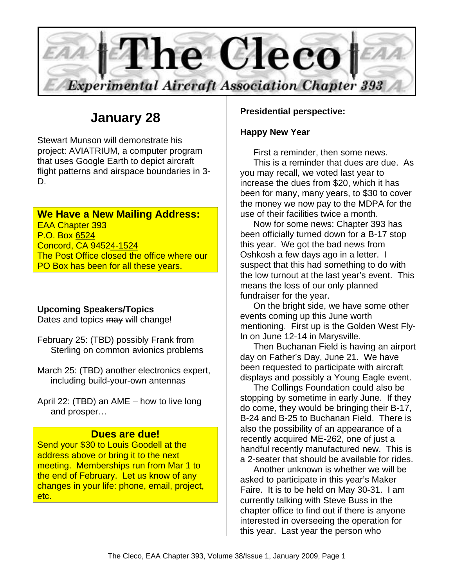

# **January 28**

Stewart Munson will demonstrate his project: AVIATRIUM, a computer program that uses Google Earth to depict aircraft flight patterns and airspace boundaries in 3- D.

### **We Have a New Mailing Address:**

EAA Chapter 393 P.O. Box 6524 Concord, CA 94524-1524 The Post Office closed the office where our PO Box has been for all these years.

#### **Upcoming Speakers/Topics**

Dates and topics may will change!

February 25: (TBD) possibly Frank from Sterling on common avionics problems

March 25: (TBD) another electronics expert, including build-your-own antennas

April 22: (TBD) an AME – how to live long and prosper…

#### **Dues are due!**

Send your \$30 to Louis Goodell at the address above or bring it to the next meeting. Memberships run from Mar 1 to the end of February. Let us know of any changes in your life: phone, email, project, etc.

#### **Presidential perspective:**

#### **Happy New Year**

First a reminder, then some news. This is a reminder that dues are due. As you may recall, we voted last year to increase the dues from \$20, which it has been for many, many years, to \$30 to cover the money we now pay to the MDPA for the use of their facilities twice a month.

Now for some news: Chapter 393 has been officially turned down for a B-17 stop this year. We got the bad news from Oshkosh a few days ago in a letter. I suspect that this had something to do with the low turnout at the last year's event. This means the loss of our only planned fundraiser for the year.

On the bright side, we have some other events coming up this June worth mentioning. First up is the Golden West Fly-In on June 12-14 in Marysville.

Then Buchanan Field is having an airport day on Father's Day, June 21. We have been requested to participate with aircraft displays and possibly a Young Eagle event.

The Collings Foundation could also be stopping by sometime in early June. If they do come, they would be bringing their B-17, B-24 and B-25 to Buchanan Field. There is also the possibility of an appearance of a recently acquired ME-262, one of just a handful recently manufactured new. This is a 2-seater that should be available for rides.

Another unknown is whether we will be asked to participate in this year's Maker Faire. It is to be held on May 30-31. I am currently talking with Steve Buss in the chapter office to find out if there is anyone interested in overseeing the operation for this year. Last year the person who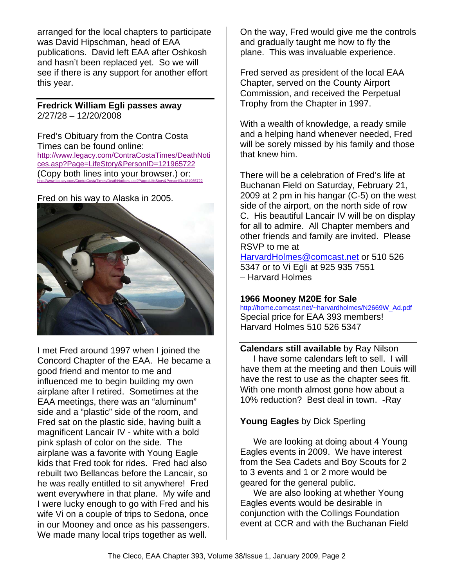arranged for the local chapters to participate was David Hipschman, head of EAA publications. David left EAA after Oshkosh and hasn't been replaced yet. So we will see if there is any support for another effort this year.

**Fredrick William Egli passes away**  2/27/28 – 12/20/2008

Fred's Obituary from the Contra Costa Times can be found online: http://www.legacy.com/ContraCostaTimes/DeathNoti ces.asp?Page=LifeStory&PersonID=121965722 (Copy both lines into your browser.) or: http://www.legacy.com/ContraCostaTimes/DeathNotices.asp?Page=LifeStory&PersonID=121965722

Fred on his way to Alaska in 2005.



I met Fred around 1997 when I joined the Concord Chapter of the EAA. He became a good friend and mentor to me and influenced me to begin building my own airplane after I retired. Sometimes at the EAA meetings, there was an "aluminum" side and a "plastic" side of the room, and Fred sat on the plastic side, having built a magnificent Lancair IV - white with a bold pink splash of color on the side. The airplane was a favorite with Young Eagle kids that Fred took for rides. Fred had also rebuilt two Bellancas before the Lancair, so he was really entitled to sit anywhere! Fred went everywhere in that plane. My wife and I were lucky enough to go with Fred and his wife Vi on a couple of trips to Sedona, once in our Mooney and once as his passengers. We made many local trips together as well.

On the way, Fred would give me the controls and gradually taught me how to fly the plane. This was invaluable experience.

Fred served as president of the local EAA Chapter, served on the County Airport Commission, and received the Perpetual Trophy from the Chapter in 1997.

With a wealth of knowledge, a ready smile and a helping hand whenever needed, Fred will be sorely missed by his family and those that knew him.

There will be a celebration of Fred's life at Buchanan Field on Saturday, February 21, 2009 at 2 pm in his hangar (C-5) on the west side of the airport, on the north side of row C. His beautiful Lancair IV will be on display for all to admire. All Chapter members and other friends and family are invited. Please RSVP to me at

HarvardHolmes@comcast.net or 510 526 5347 or to Vi Egli at 925 935 7551 – Harvard Holmes

**1966 Mooney M20E for Sale** http://home.comcast.net/~harvardholmes/N2669W\_Ad.pdf Special price for EAA 393 members! Harvard Holmes 510 526 5347

**Calendars still available** by Ray Nilson I have some calendars left to sell. I will have them at the meeting and then Louis will have the rest to use as the chapter sees fit. With one month almost gone how about a 10% reduction? Best deal in town. -Ray

#### **Young Eagles** by Dick Sperling

We are looking at doing about 4 Young Eagles events in 2009. We have interest from the Sea Cadets and Boy Scouts for 2 to 3 events and 1 or 2 more would be geared for the general public.

We are also looking at whether Young Eagles events would be desirable in conjunction with the Collings Foundation event at CCR and with the Buchanan Field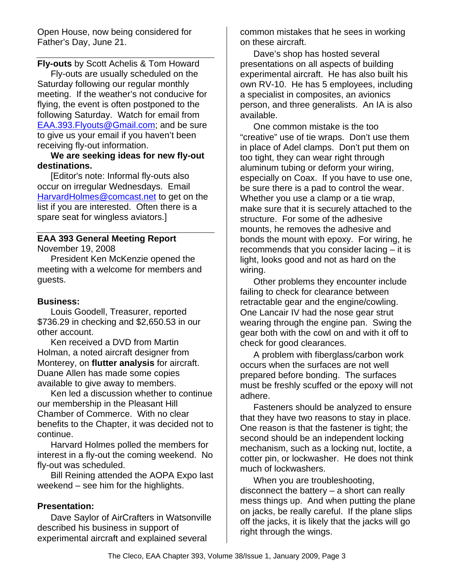Open House, now being considered for Father's Day, June 21.

**Fly-outs** by Scott Achelis & Tom Howard Fly-outs are usually scheduled on the Saturday following our regular monthly meeting. If the weather's not conducive for flying, the event is often postponed to the following Saturday. Watch for email from EAA.393.Flyouts@Gmail.com; and be sure to give us your email if you haven't been receiving fly-out information.

**We are seeking ideas for new fly-out destinations.** 

[Editor's note: Informal fly-outs also occur on irregular Wednesdays. Email HarvardHolmes@comcast.net to get on the list if you are interested. Often there is a spare seat for wingless aviators.]

### **EAA 393 General Meeting Report**

November 19, 2008

President Ken McKenzie opened the meeting with a welcome for members and guests.

#### **Business:**

Louis Goodell, Treasurer, reported \$736.29 in checking and \$2,650.53 in our other account.

Ken received a DVD from Martin Holman, a noted aircraft designer from Monterey, on **flutter analysis** for aircraft. Duane Allen has made some copies available to give away to members.

Ken led a discussion whether to continue our membership in the Pleasant Hill Chamber of Commerce. With no clear benefits to the Chapter, it was decided not to continue.

Harvard Holmes polled the members for interest in a fly-out the coming weekend. No fly-out was scheduled.

Bill Reining attended the AOPA Expo last weekend – see him for the highlights.

#### **Presentation:**

Dave Saylor of AirCrafters in Watsonville described his business in support of experimental aircraft and explained several

common mistakes that he sees in working on these aircraft.

Dave's shop has hosted several presentations on all aspects of building experimental aircraft. He has also built his own RV-10. He has 5 employees, including a specialist in composites, an avionics person, and three generalists. An IA is also available.

One common mistake is the too "creative" use of tie wraps. Don't use them in place of Adel clamps. Don't put them on too tight, they can wear right through aluminum tubing or deform your wiring, especially on Coax. If you have to use one, be sure there is a pad to control the wear. Whether you use a clamp or a tie wrap, make sure that it is securely attached to the structure. For some of the adhesive mounts, he removes the adhesive and bonds the mount with epoxy. For wiring, he recommends that you consider lacing – it is light, looks good and not as hard on the wiring.

Other problems they encounter include failing to check for clearance between retractable gear and the engine/cowling. One Lancair IV had the nose gear strut wearing through the engine pan. Swing the gear both with the cowl on and with it off to check for good clearances.

A problem with fiberglass/carbon work occurs when the surfaces are not well prepared before bonding. The surfaces must be freshly scuffed or the epoxy will not adhere.

Fasteners should be analyzed to ensure that they have two reasons to stay in place. One reason is that the fastener is tight; the second should be an independent locking mechanism, such as a locking nut, loctite, a cotter pin, or lockwasher. He does not think much of lockwashers.

When you are troubleshooting, disconnect the battery – a short can really mess things up. And when putting the plane on jacks, be really careful. If the plane slips off the jacks, it is likely that the jacks will go right through the wings.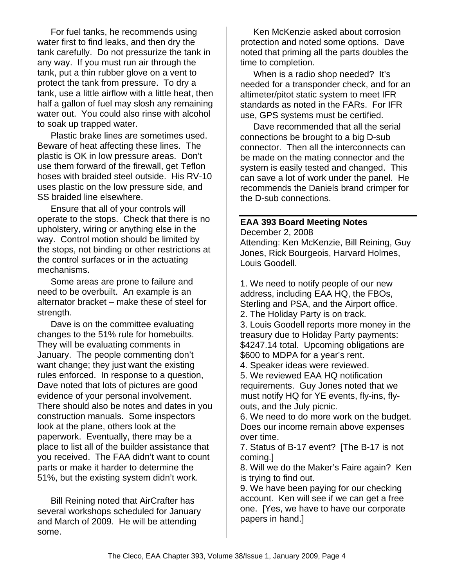For fuel tanks, he recommends using water first to find leaks, and then dry the tank carefully. Do not pressurize the tank in any way. If you must run air through the tank, put a thin rubber glove on a vent to protect the tank from pressure. To dry a tank, use a little airflow with a little heat, then half a gallon of fuel may slosh any remaining water out. You could also rinse with alcohol to soak up trapped water.

Plastic brake lines are sometimes used. Beware of heat affecting these lines. The plastic is OK in low pressure areas. Don't use them forward of the firewall, get Teflon hoses with braided steel outside. His RV-10 uses plastic on the low pressure side, and SS braided line elsewhere.

Ensure that all of your controls will operate to the stops. Check that there is no upholstery, wiring or anything else in the way. Control motion should be limited by the stops, not binding or other restrictions at the control surfaces or in the actuating mechanisms.

Some areas are prone to failure and need to be overbuilt. An example is an alternator bracket – make these of steel for strength.

Dave is on the committee evaluating changes to the 51% rule for homebuilts. They will be evaluating comments in January. The people commenting don't want change; they just want the existing rules enforced. In response to a question, Dave noted that lots of pictures are good evidence of your personal involvement. There should also be notes and dates in you construction manuals. Some inspectors look at the plane, others look at the paperwork. Eventually, there may be a place to list all of the builder assistance that you received. The FAA didn't want to count parts or make it harder to determine the 51%, but the existing system didn't work.

Bill Reining noted that AirCrafter has several workshops scheduled for January and March of 2009. He will be attending some.

Ken McKenzie asked about corrosion protection and noted some options. Dave noted that priming all the parts doubles the time to completion.

When is a radio shop needed? It's needed for a transponder check, and for an altimeter/pitot static system to meet IFR standards as noted in the FARs. For IFR use, GPS systems must be certified.

Dave recommended that all the serial connections be brought to a big D-sub connector. Then all the interconnects can be made on the mating connector and the system is easily tested and changed. This can save a lot of work under the panel. He recommends the Daniels brand crimper for the D-sub connections.

#### **EAA 393 Board Meeting Notes**

December 2, 2008 Attending: Ken McKenzie, Bill Reining, Guy Jones, Rick Bourgeois, Harvard Holmes, Louis Goodell.

1. We need to notify people of our new address, including EAA HQ, the FBOs, Sterling and PSA, and the Airport office. 2. The Holiday Party is on track.

3. Louis Goodell reports more money in the treasury due to Holiday Party payments: \$4247.14 total. Upcoming obligations are \$600 to MDPA for a year's rent.

4. Speaker ideas were reviewed.

5. We reviewed EAA HQ notification requirements. Guy Jones noted that we must notify HQ for YE events, fly-ins, flyouts, and the July picnic.

6. We need to do more work on the budget. Does our income remain above expenses over time.

7. Status of B-17 event? [The B-17 is not coming.]

8. Will we do the Maker's Faire again? Ken is trying to find out.

9. We have been paying for our checking account. Ken will see if we can get a free one. [Yes, we have to have our corporate papers in hand.]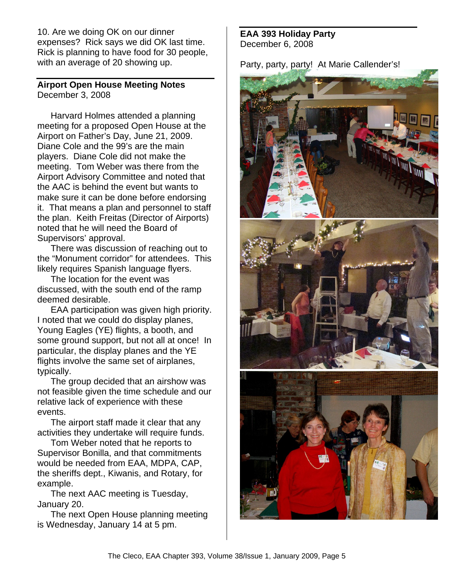10. Are we doing OK on our dinner expenses? Rick says we did OK last time. Rick is planning to have food for 30 people, with an average of 20 showing up.

#### **Airport Open House Meeting Notes**  December 3, 2008

Harvard Holmes attended a planning meeting for a proposed Open House at the Airport on Father's Day, June 21, 2009. Diane Cole and the 99's are the main players. Diane Cole did not make the meeting. Tom Weber was there from the Airport Advisory Committee and noted that the AAC is behind the event but wants to make sure it can be done before endorsing it. That means a plan and personnel to staff the plan. Keith Freitas (Director of Airports) noted that he will need the Board of Supervisors' approval.

There was discussion of reaching out to the "Monument corridor" for attendees. This likely requires Spanish language flyers.

The location for the event was discussed, with the south end of the ramp deemed desirable.

EAA participation was given high priority. I noted that we could do display planes, Young Eagles (YE) flights, a booth, and some ground support, but not all at once! In particular, the display planes and the YE flights involve the same set of airplanes, typically.

The group decided that an airshow was not feasible given the time schedule and our relative lack of experience with these events.

The airport staff made it clear that any activities they undertake will require funds.

Tom Weber noted that he reports to Supervisor Bonilla, and that commitments would be needed from EAA, MDPA, CAP, the sheriffs dept., Kiwanis, and Rotary, for example.

The next AAC meeting is Tuesday, January 20.

The next Open House planning meeting is Wednesday, January 14 at 5 pm.

**EAA 393 Holiday Party**  December 6, 2008

Party, party, party! At Marie Callender's!

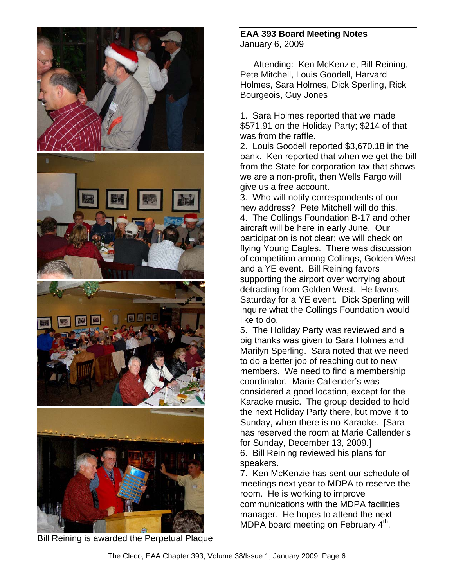

Bill Reining is awarded the Perpetual Plaque

**EAA 393 Board Meeting Notes**  January 6, 2009

Attending: Ken McKenzie, Bill Reining, Pete Mitchell, Louis Goodell, Harvard Holmes, Sara Holmes, Dick Sperling, Rick Bourgeois, Guy Jones

1. Sara Holmes reported that we made \$571.91 on the Holiday Party; \$214 of that was from the raffle.

2. Louis Goodell reported \$3,670.18 in the bank. Ken reported that when we get the bill from the State for corporation tax that shows we are a non-profit, then Wells Fargo will give us a free account.

3. Who will notify correspondents of our new address? Pete Mitchell will do this. 4. The Collings Foundation B-17 and other aircraft will be here in early June. Our participation is not clear; we will check on flying Young Eagles. There was discussion of competition among Collings, Golden West and a YE event. Bill Reining favors supporting the airport over worrying about detracting from Golden West. He favors Saturday for a YE event. Dick Sperling will inquire what the Collings Foundation would like to do.

5. The Holiday Party was reviewed and a big thanks was given to Sara Holmes and Marilyn Sperling. Sara noted that we need to do a better job of reaching out to new members. We need to find a membership coordinator. Marie Callender's was considered a good location, except for the Karaoke music. The group decided to hold the next Holiday Party there, but move it to Sunday, when there is no Karaoke. [Sara has reserved the room at Marie Callender's for Sunday, December 13, 2009.] 6. Bill Reining reviewed his plans for speakers.

7. Ken McKenzie has sent our schedule of meetings next year to MDPA to reserve the room. He is working to improve communications with the MDPA facilities manager. He hopes to attend the next MDPA board meeting on February  $4<sup>th</sup>$ .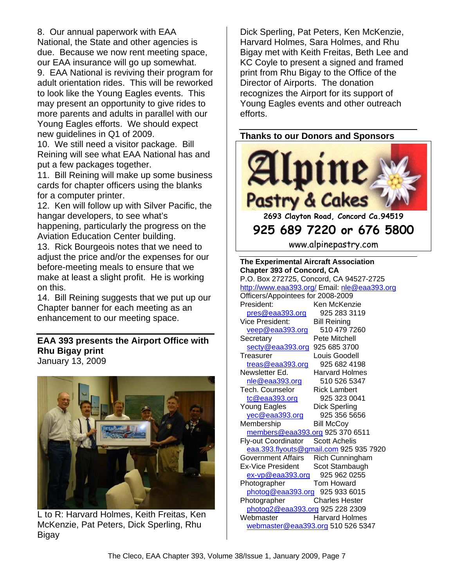8. Our annual paperwork with EAA National, the State and other agencies is due. Because we now rent meeting space, our EAA insurance will go up somewhat.

9. EAA National is reviving their program for adult orientation rides. This will be reworked to look like the Young Eagles events. This may present an opportunity to give rides to more parents and adults in parallel with our Young Eagles efforts. We should expect new guidelines in Q1 of 2009.

10. We still need a visitor package. Bill Reining will see what EAA National has and put a few packages together.

11. Bill Reining will make up some business cards for chapter officers using the blanks for a computer printer.

12. Ken will follow up with Silver Pacific, the hangar developers, to see what's

happening, particularly the progress on the Aviation Education Center building.

13. Rick Bourgeois notes that we need to adjust the price and/or the expenses for our before-meeting meals to ensure that we make at least a slight profit. He is working on this.

14. Bill Reining suggests that we put up our Chapter banner for each meeting as an enhancement to our meeting space.

#### **EAA 393 presents the Airport Office with Rhu Bigay print**  January 13, 2009



L to R: Harvard Holmes, Keith Freitas, Ken McKenzie, Pat Peters, Dick Sperling, Rhu Bigay

Dick Sperling, Pat Peters, Ken McKenzie, Harvard Holmes, Sara Holmes, and Rhu Bigay met with Keith Freitas, Beth Lee and KC Coyle to present a signed and framed print from Rhu Bigay to the Office of the Director of Airports. The donation recognizes the Airport for its support of Young Eagles events and other outreach efforts.

#### **Thanks to our Donors and Sponsors**



www.alpinepastry.com

| <b>The Experimental Aircraft Association</b> |                                        |  |
|----------------------------------------------|----------------------------------------|--|
| <b>Chapter 393 of Concord, CA</b>            |                                        |  |
| P.O. Box 272725, Concord, CA 94527-2725      |                                        |  |
| http://www.eaa393.org/ Email: nle@eaa393.org |                                        |  |
| Officers/Appointees for 2008-2009            |                                        |  |
| President:                                   | Ken McKenzie                           |  |
| pres@eaa393.org                              | 925 283 3119                           |  |
| Vice President:                              | <b>Bill Reining</b>                    |  |
| veep@eaa393.org                              | 510 479 7260                           |  |
| Secretary                                    | Pete Mitchell                          |  |
| secty@eaa393.org                             | 925 685 3700                           |  |
| Treasurer                                    | Louis Goodell                          |  |
| treas@eaa393.org                             | 925 682 4198                           |  |
| Newsletter Ed.                               | Harvard Holmes                         |  |
| nle@eaa393.org                               | 510 526 5347                           |  |
| <b>Tech. Counselor</b>                       | <b>Rick Lambert</b>                    |  |
| tc@eaa393.org                                | 925 323 0041                           |  |
| Young Eagles                                 | <b>Dick Sperling</b>                   |  |
| yec@eaa393.org                               | 925 356 5656                           |  |
| Membership                                   | <b>Bill McCoy</b>                      |  |
| members@eaa393.org 925 370 6511              |                                        |  |
| Fly-out Coordinator                          | <b>Scott Achelis</b>                   |  |
|                                              | eaa.393.flyouts@gmail.com 925 935 7920 |  |
| <b>Government Affairs</b>                    | Rich Cunningham                        |  |
| <b>Ex-Vice President</b>                     | Scot Stambaugh                         |  |
| $ex-vp@eaa393.org$                           | 925 962 0255                           |  |
| Photographer                                 | Tom Howard                             |  |
| photog@eaa393.org                            | 925 933 6015                           |  |
| Photographer                                 | <b>Charles Hester</b>                  |  |
| photog2@eaa393.org 925 228 2309              |                                        |  |
| Webmaster                                    | <b>Harvard Holmes</b>                  |  |
| webmaster@eaa393.org 510 526 5347            |                                        |  |